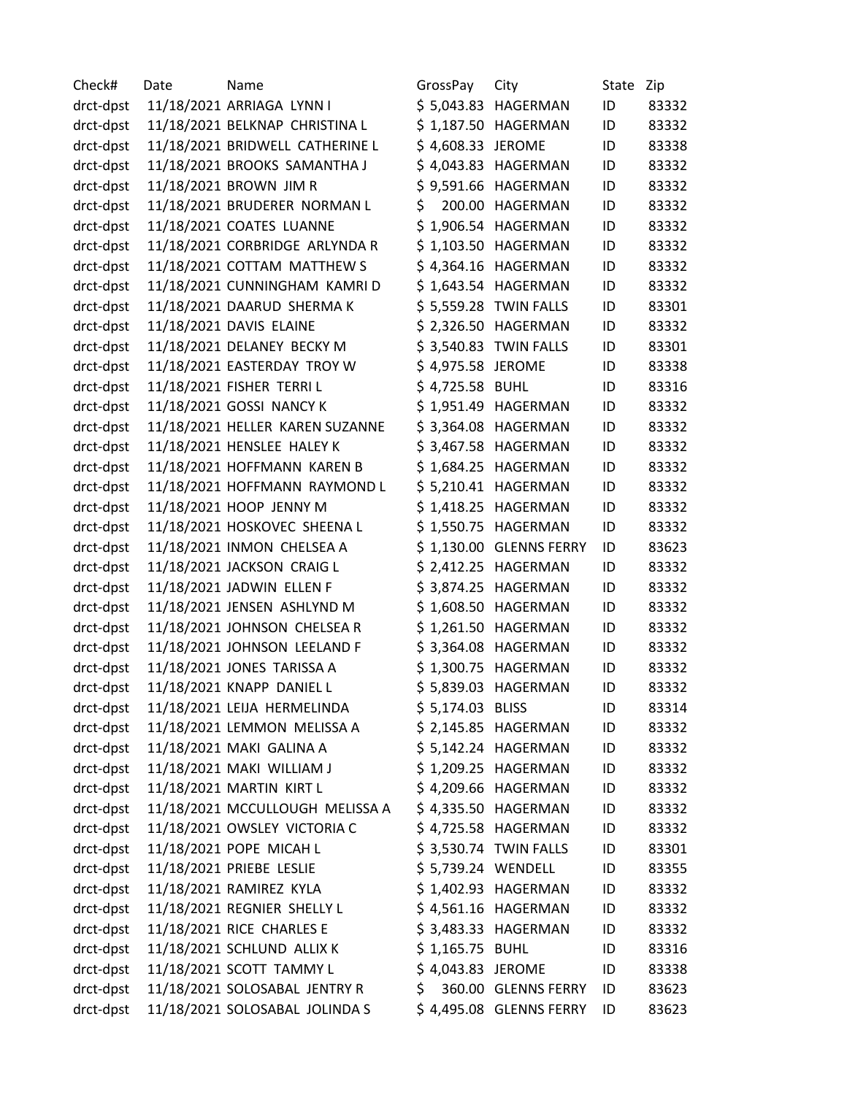Check# Date Mame Mame GrossPay City State Zip drct-dpst 11/18/2021 ARRIAGA LYNN I \$ 5,043.83 HAGERMAN ID 83332 drct-dpst 11/18/2021 BELKNAP CHRISTINA L \$ 1,187.50 HAGERMAN ID 83332 drct-dpst 11/18/2021 BRIDWELL CATHERINE L \$ 4,608.33 JEROME ID 83338 drct-dpst 11/18/2021 BROOKS SAMANTHA J \$ 4,043.83 HAGERMAN ID 83332 drct-dpst 11/18/2021 BROWN JIM R \$ 9,591.66 HAGERMAN ID 83332 drct-dpst 11/18/2021 BRUDERER NORMAN L \$ 200.00 HAGERMAN ID 83332 drct-dpst 11/18/2021 COATES LUANNE \$ 1,906.54 HAGERMAN ID 83332 drct-dpst 11/18/2021 CORBRIDGE ARLYNDA R \$ 1,103.50 HAGERMAN ID 83332 drct-dpst 11/18/2021 COTTAM MATTHEW S  $\begin{array}{r} \xi$  4,364.16 HAGERMAN ID 83332 drct-dpst 11/18/2021 CUNNINGHAM KAMRI D \$ 1,643.54 HAGERMAN ID 83332 drct-dpst 11/18/2021 DAARUD SHERMA K \$ 5,559.28 TWIN FALLS ID 83301 drct-dpst 11/18/2021 DAVIS ELAINE \$ 2,326.50 HAGERMAN ID 83332 drct-dpst 11/18/2021 DELANEY BECKY M \$ 3,540.83 TWIN FALLS ID 83301 drct-dpst 11/18/2021 EASTERDAY TROY W \$ 4,975.58 JEROME ID 83338 drct-dpst 11/18/2021 FISHER TERRI L  $\begin{array}{ccc} \S 4,725.58 & B \\ \end{array}$  BUHL ID 83316 drct-dpst 11/18/2021 GOSSI NANCY K  $\begin{array}{c} \S$  1,951.49 HAGERMAN ID 83332 drct-dpst 11/18/2021 HELLER KAREN SUZANNE \$ 3,364.08 HAGERMAN ID 83332 drct-dpst 11/18/2021 HENSLEE HALEY K \$ 3,467.58 HAGERMAN ID 83332 drct-dpst 11/18/2021 HOFFMANN KAREN B \$ 1,684.25 HAGERMAN ID 83332 drct-dpst 11/18/2021 HOFFMANN RAYMOND L \$ 5,210.41 HAGERMAN ID 83332 drct-dpst 11/18/2021 HOOP JENNY M  $\begin{array}{ccc} \S 1,418.25 & HAGERMAN & ID & 83332 \end{array}$ drct-dpst 11/18/2021 HOSKOVEC SHEENA L \$ 1,550.75 HAGERMAN ID 83332 drct-dpst 11/18/2021 INMON CHELSEA A \$ 1,130.00 GLENNS FERRY ID 83623 drct-dpst 11/18/2021 JACKSON CRAIG L \$ 2,412.25 HAGERMAN ID 83332 drct-dpst 11/18/2021 JADWIN ELLEN F \$ 3,874.25 HAGERMAN ID 83332 drct-dpst 11/18/2021 JENSEN ASHLYND M \$ 1,608.50 HAGERMAN ID 83332 drct-dpst 11/18/2021 JOHNSON CHELSEA R \$ 1,261.50 HAGERMAN ID 83332 drct-dpst 11/18/2021 JOHNSON LEELAND F \$ 3,364.08 HAGERMAN ID 83332 drct-dpst 11/18/2021 JONES TARISSA A \$ 1,300.75 HAGERMAN ID 83332 drct-dpst 11/18/2021 KNAPP DANIEL L \$ 5,839.03 HAGERMAN ID 83332 drct-dpst 11/18/2021 LEIJA HERMELINDA  $\lesssim$  5,174.03 BLISS ID 83314 drct-dpst 11/18/2021 LEMMON MELISSA A \$ 2,145.85 HAGERMAN ID 83332 drct-dpst 11/18/2021 MAKI GALINA A \$ 5,142.24 HAGERMAN ID 83332 drct-dpst 11/18/2021 MAKI WILLIAM J \$ 1,209.25 HAGERMAN ID 83332 drct-dpst 11/18/2021 MARTIN KIRT L \$ 4,209.66 HAGERMAN ID 83332 drct-dpst 11/18/2021 MCCULLOUGH MELISSA A \$ 4,335.50 HAGERMAN ID 83332 drct-dpst 11/18/2021 OWSLEY VICTORIA C  $\begin{array}{ccc} \text{ $6,1,25.58}_{\text{ }} & \text{ $4,725.58}_{\text{ }} & \text{ $4,725.58}_{\text{ }} & \text{ $4,725.58}_{\text{ }} & \text{ $4,725.58}_{\text{ }} & \text{ $4,725.58}_{\text{ }} & \text{ $4,725.58}_{\text{ }} & \text{ $4,725.58}_{\text{ }} & \text{ $4,725.58}_{\text{ }} & \text{$ drct-dpst 11/18/2021 POPE MICAH L  $\begin{array}{cc} \text{S} & \text{S},530.74 \end{array}$  TWIN FALLS ID 83301 drct-dpst 11/18/2021 PRIEBE LESLIE 5 5,739.24 WENDELL ID 83355 drct-dpst 11/18/2021 RAMIREZ KYLA \$ 1,402.93 HAGERMAN ID 83332 drct-dpst 11/18/2021 REGNIER SHELLY L \$ 4,561.16 HAGERMAN ID 83332 drct-dpst 11/18/2021 RICE CHARLES E \$ 3,483.33 HAGERMAN ID 83332 drct-dpst 11/18/2021 SCHLUND ALLIX K \$ 1,165.75 BUHL ID 83316 drct-dpst 11/18/2021 SCOTT TAMMY L  $\begin{array}{ccc} 5 & 4.043.83 & \text{JEROME} & \text{ID} & 83338 \end{array}$ drct-dpst 11/18/2021 SOLOSABAL JENTRY R \$ 360.00 GLENNS FERRY ID 83623 drct-dpst 11/18/2021 SOLOSABAL JOLINDA S \$ 4,495.08 GLENNS FERRY ID 83623